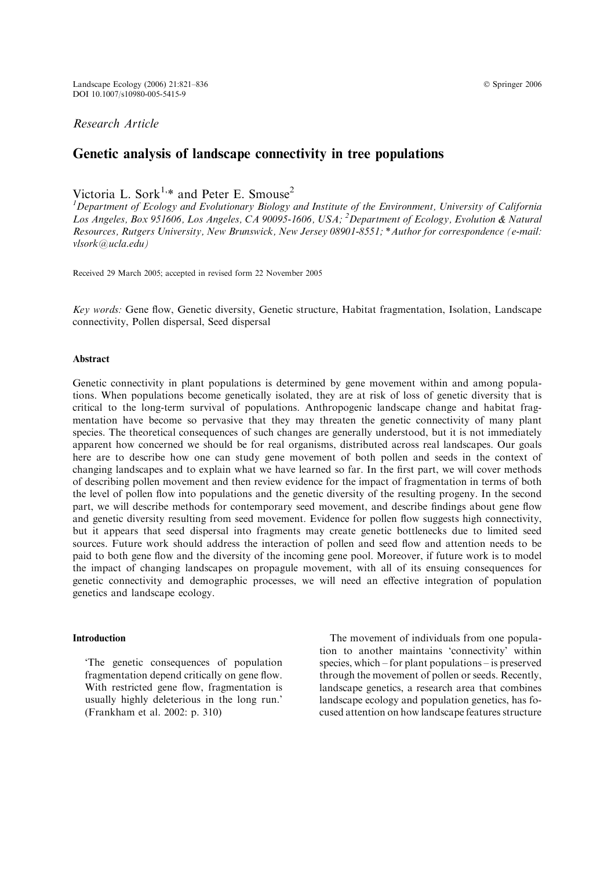# Research Article

# Genetic analysis of landscape connectivity in tree populations

# Victoria L. Sor $k^{1,*}$  and Peter E. Smouse<sup>2</sup>

<sup>1</sup>Department of Ecology and Evolutionary Biology and Institute of the Environment, University of California Los Angeles, Box 951606, Los Angeles, CA 90095-1606, USA; <sup>2</sup> Department of Ecology, Evolution & Natural Resources, Rutgers University, New Brunswick, New Jersey 08901-8551; \*Author for correspondence (e-mail: vlsork@ucla.edu)

Received 29 March 2005; accepted in revised form 22 November 2005

Key words: Gene flow, Genetic diversity, Genetic structure, Habitat fragmentation, Isolation, Landscape connectivity, Pollen dispersal, Seed dispersal

#### Abstract

Genetic connectivity in plant populations is determined by gene movement within and among populations. When populations become genetically isolated, they are at risk of loss of genetic diversity that is critical to the long-term survival of populations. Anthropogenic landscape change and habitat fragmentation have become so pervasive that they may threaten the genetic connectivity of many plant species. The theoretical consequences of such changes are generally understood, but it is not immediately apparent how concerned we should be for real organisms, distributed across real landscapes. Our goals here are to describe how one can study gene movement of both pollen and seeds in the context of changing landscapes and to explain what we have learned so far. In the first part, we will cover methods of describing pollen movement and then review evidence for the impact of fragmentation in terms of both the level of pollen flow into populations and the genetic diversity of the resulting progeny. In the second part, we will describe methods for contemporary seed movement, and describe findings about gene flow and genetic diversity resulting from seed movement. Evidence for pollen flow suggests high connectivity, but it appears that seed dispersal into fragments may create genetic bottlenecks due to limited seed sources. Future work should address the interaction of pollen and seed flow and attention needs to be paid to both gene flow and the diversity of the incoming gene pool. Moreover, if future work is to model the impact of changing landscapes on propagule movement, with all of its ensuing consequences for genetic connectivity and demographic processes, we will need an effective integration of population genetics and landscape ecology.

# Introduction

'The genetic consequences of population fragmentation depend critically on gene flow. With restricted gene flow, fragmentation is usually highly deleterious in the long run.' (Frankham et al. 2002: p. 310)

The movement of individuals from one population to another maintains 'connectivity' within species, which – for plant populations – is preserved through the movement of pollen or seeds. Recently, landscape genetics, a research area that combines landscape ecology and population genetics, has focused attention on how landscape features structure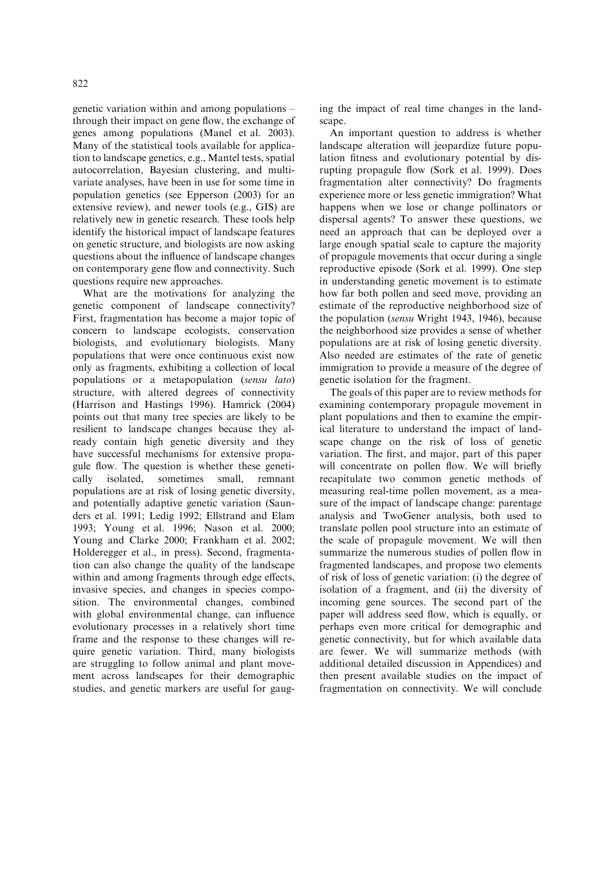genetic variation within and among populations – through their impact on gene flow, the exchange of genes among populations (Manel et al. 2003). Many of the statistical tools available for application to landscape genetics, e.g., Mantel tests, spatial autocorrelation, Bayesian clustering, and multivariate analyses, have been in use for some time in population genetics (see Epperson (2003) for an extensive review), and newer tools (e.g., GIS) are relatively new in genetic research. These tools help identify the historical impact of landscape features on genetic structure, and biologists are now asking questions about the influence of landscape changes on contemporary gene flow and connectivity. Such questions require new approaches.

What are the motivations for analyzing the genetic component of landscape connectivity? First, fragmentation has become a major topic of concern to landscape ecologists, conservation biologists, and evolutionary biologists. Many populations that were once continuous exist now only as fragments, exhibiting a collection of local populations or a metapopulation (sensu lato) structure, with altered degrees of connectivity (Harrison and Hastings 1996). Hamrick (2004) points out that many tree species are likely to be resilient to landscape changes because they already contain high genetic diversity and they have successful mechanisms for extensive propagule flow. The question is whether these genetically isolated, sometimes small, remnant populations are at risk of losing genetic diversity, and potentially adaptive genetic variation (Saunders et al. 1991; Ledig 1992; Ellstrand and Elam 1993; Young et al. 1996; Nason et al. 2000; Young and Clarke 2000; Frankham et al. 2002; Holderegger et al., in press). Second, fragmentation can also change the quality of the landscape within and among fragments through edge effects, invasive species, and changes in species composition. The environmental changes, combined with global environmental change, can influence evolutionary processes in a relatively short time frame and the response to these changes will require genetic variation. Third, many biologists are struggling to follow animal and plant movement across landscapes for their demographic studies, and genetic markers are useful for gauging the impact of real time changes in the landscape.

An important question to address is whether landscape alteration will jeopardize future population fitness and evolutionary potential by disrupting propagule flow (Sork et al. 1999). Does fragmentation alter connectivity? Do fragments experience more or less genetic immigration? What happens when we lose or change pollinators or dispersal agents? To answer these questions, we need an approach that can be deployed over a large enough spatial scale to capture the majority of propagule movements that occur during a single reproductive episode (Sork et al. 1999). One step in understanding genetic movement is to estimate how far both pollen and seed move, providing an estimate of the reproductive neighborhood size of the population (sensu Wright 1943, 1946), because the neighborhood size provides a sense of whether populations are at risk of losing genetic diversity. Also needed are estimates of the rate of genetic immigration to provide a measure of the degree of genetic isolation for the fragment.

The goals of this paper are to review methods for examining contemporary propagule movement in plant populations and then to examine the empirical literature to understand the impact of landscape change on the risk of loss of genetic variation. The first, and major, part of this paper will concentrate on pollen flow. We will briefly recapitulate two common genetic methods of measuring real-time pollen movement, as a measure of the impact of landscape change: parentage analysis and TwoGener analysis, both used to translate pollen pool structure into an estimate of the scale of propagule movement. We will then summarize the numerous studies of pollen flow in fragmented landscapes, and propose two elements of risk of loss of genetic variation: (i) the degree of isolation of a fragment, and (ii) the diversity of incoming gene sources. The second part of the paper will address seed flow, which is equally, or perhaps even more critical for demographic and genetic connectivity, but for which available data are fewer. We will summarize methods (with additional detailed discussion in Appendices) and then present available studies on the impact of fragmentation on connectivity. We will conclude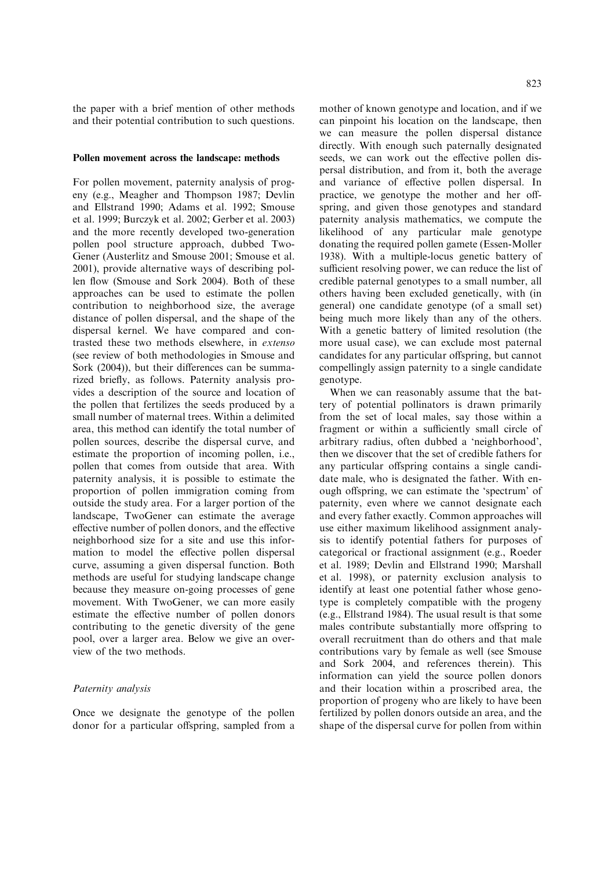the paper with a brief mention of other methods and their potential contribution to such questions.

#### Pollen movement across the landscape: methods

For pollen movement, paternity analysis of progeny (e.g., Meagher and Thompson 1987; Devlin and Ellstrand 1990; Adams et al. 1992; Smouse et al. 1999; Burczyk et al. 2002; Gerber et al. 2003) and the more recently developed two-generation pollen pool structure approach, dubbed Two-Gener (Austerlitz and Smouse 2001; Smouse et al. 2001), provide alternative ways of describing pollen flow (Smouse and Sork 2004). Both of these approaches can be used to estimate the pollen contribution to neighborhood size, the average distance of pollen dispersal, and the shape of the dispersal kernel. We have compared and contrasted these two methods elsewhere, in extenso (see review of both methodologies in Smouse and Sork (2004)), but their differences can be summarized briefly, as follows. Paternity analysis provides a description of the source and location of the pollen that fertilizes the seeds produced by a small number of maternal trees. Within a delimited area, this method can identify the total number of pollen sources, describe the dispersal curve, and estimate the proportion of incoming pollen, i.e., pollen that comes from outside that area. With paternity analysis, it is possible to estimate the proportion of pollen immigration coming from outside the study area. For a larger portion of the landscape, TwoGener can estimate the average effective number of pollen donors, and the effective neighborhood size for a site and use this information to model the effective pollen dispersal curve, assuming a given dispersal function. Both methods are useful for studying landscape change because they measure on-going processes of gene movement. With TwoGener, we can more easily estimate the effective number of pollen donors contributing to the genetic diversity of the gene pool, over a larger area. Below we give an overview of the two methods.

# Paternity analysis

Once we designate the genotype of the pollen donor for a particular offspring, sampled from a

mother of known genotype and location, and if we can pinpoint his location on the landscape, then we can measure the pollen dispersal distance directly. With enough such paternally designated seeds, we can work out the effective pollen dispersal distribution, and from it, both the average and variance of effective pollen dispersal. In practice, we genotype the mother and her offspring, and given those genotypes and standard paternity analysis mathematics, we compute the likelihood of any particular male genotype donating the required pollen gamete (Essen-Moller 1938). With a multiple-locus genetic battery of sufficient resolving power, we can reduce the list of credible paternal genotypes to a small number, all others having been excluded genetically, with (in general) one candidate genotype (of a small set) being much more likely than any of the others. With a genetic battery of limited resolution (the more usual case), we can exclude most paternal candidates for any particular offspring, but cannot compellingly assign paternity to a single candidate genotype.

When we can reasonably assume that the battery of potential pollinators is drawn primarily from the set of local males, say those within a fragment or within a sufficiently small circle of arbitrary radius, often dubbed a 'neighborhood', then we discover that the set of credible fathers for any particular offspring contains a single candidate male, who is designated the father. With enough offspring, we can estimate the 'spectrum' of paternity, even where we cannot designate each and every father exactly. Common approaches will use either maximum likelihood assignment analysis to identify potential fathers for purposes of categorical or fractional assignment (e.g., Roeder et al. 1989; Devlin and Ellstrand 1990; Marshall et al. 1998), or paternity exclusion analysis to identify at least one potential father whose genotype is completely compatible with the progeny (e.g., Ellstrand 1984). The usual result is that some males contribute substantially more offspring to overall recruitment than do others and that male contributions vary by female as well (see Smouse and Sork 2004, and references therein). This information can yield the source pollen donors and their location within a proscribed area, the proportion of progeny who are likely to have been fertilized by pollen donors outside an area, and the shape of the dispersal curve for pollen from within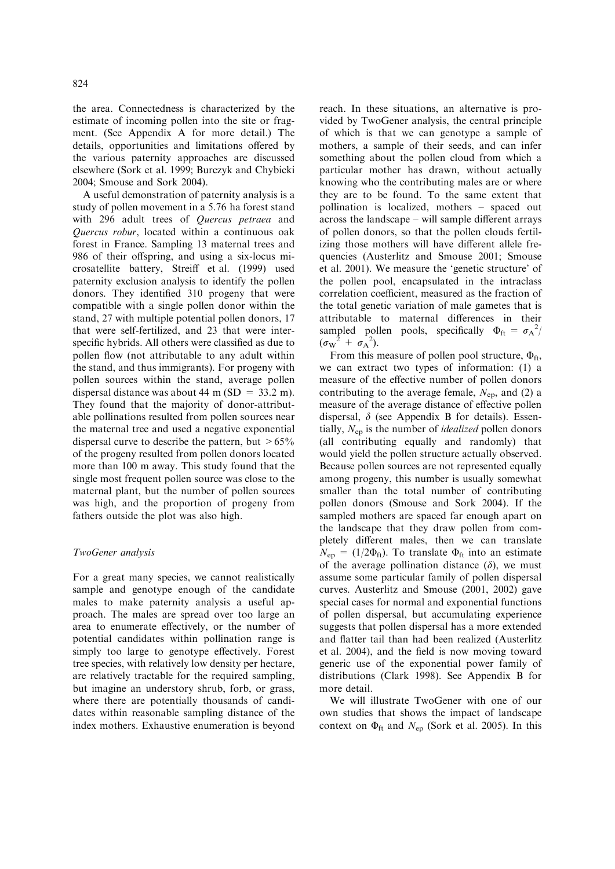the area. Connectedness is characterized by the estimate of incoming pollen into the site or fragment. (See Appendix A for more detail.) The details, opportunities and limitations offered by the various paternity approaches are discussed elsewhere (Sork et al. 1999; Burczyk and Chybicki 2004; Smouse and Sork 2004).

A useful demonstration of paternity analysis is a study of pollen movement in a 5.76 ha forest stand with 296 adult trees of Quercus petraea and Quercus robur, located within a continuous oak forest in France. Sampling 13 maternal trees and 986 of their offspring, and using a six-locus microsatellite battery, Streiff et al. (1999) used paternity exclusion analysis to identify the pollen donors. They identified 310 progeny that were compatible with a single pollen donor within the stand, 27 with multiple potential pollen donors, 17 that were self-fertilized, and 23 that were interspecific hybrids. All others were classified as due to pollen flow (not attributable to any adult within the stand, and thus immigrants). For progeny with pollen sources within the stand, average pollen dispersal distance was about 44 m ( $SD = 33.2$  m). They found that the majority of donor-attributable pollinations resulted from pollen sources near the maternal tree and used a negative exponential dispersal curve to describe the pattern, but  $>65\%$ of the progeny resulted from pollen donors located more than 100 m away. This study found that the single most frequent pollen source was close to the maternal plant, but the number of pollen sources was high, and the proportion of progeny from fathers outside the plot was also high.

#### TwoGener analysis

For a great many species, we cannot realistically sample and genotype enough of the candidate males to make paternity analysis a useful approach. The males are spread over too large an area to enumerate effectively, or the number of potential candidates within pollination range is simply too large to genotype effectively. Forest tree species, with relatively low density per hectare, are relatively tractable for the required sampling, but imagine an understory shrub, forb, or grass, where there are potentially thousands of candidates within reasonable sampling distance of the index mothers. Exhaustive enumeration is beyond

reach. In these situations, an alternative is provided by TwoGener analysis, the central principle of which is that we can genotype a sample of mothers, a sample of their seeds, and can infer something about the pollen cloud from which a particular mother has drawn, without actually knowing who the contributing males are or where they are to be found. To the same extent that pollination is localized, mothers – spaced out across the landscape – will sample different arrays of pollen donors, so that the pollen clouds fertilizing those mothers will have different allele frequencies (Austerlitz and Smouse 2001; Smouse et al. 2001). We measure the 'genetic structure' of the pollen pool, encapsulated in the intraclass correlation coefficient, measured as the fraction of the total genetic variation of male gametes that is attributable to maternal differences in their sampled pollen pools, specifically  $\Phi_{\text{ft}} = \sigma_{\text{A}}^2$  $(\sigma_{\rm W}^{2} + \sigma_{\rm A}^{2}).$ 

From this measure of pollen pool structure,  $\Phi_{ft}$ , we can extract two types of information: (1) a measure of the effective number of pollen donors contributing to the average female,  $N_{\text{ep}}$ , and (2) a measure of the average distance of effective pollen dispersal,  $\delta$  (see Appendix B for details). Essentially,  $N_{en}$  is the number of *idealized* pollen donors (all contributing equally and randomly) that would yield the pollen structure actually observed. Because pollen sources are not represented equally among progeny, this number is usually somewhat smaller than the total number of contributing pollen donors (Smouse and Sork 2004). If the sampled mothers are spaced far enough apart on the landscape that they draw pollen from completely different males, then we can translate  $N_{\rm ep} = (1/2\Phi_{\rm ft})$ . To translate  $\Phi_{\rm ft}$  into an estimate of the average pollination distance  $(\delta)$ , we must assume some particular family of pollen dispersal curves. Austerlitz and Smouse (2001, 2002) gave special cases for normal and exponential functions of pollen dispersal, but accumulating experience suggests that pollen dispersal has a more extended and flatter tail than had been realized (Austerlitz et al. 2004), and the field is now moving toward generic use of the exponential power family of distributions (Clark 1998). See Appendix B for more detail.

We will illustrate TwoGener with one of our own studies that shows the impact of landscape context on  $\Phi_{ft}$  and  $N_{ep}$  (Sork et al. 2005). In this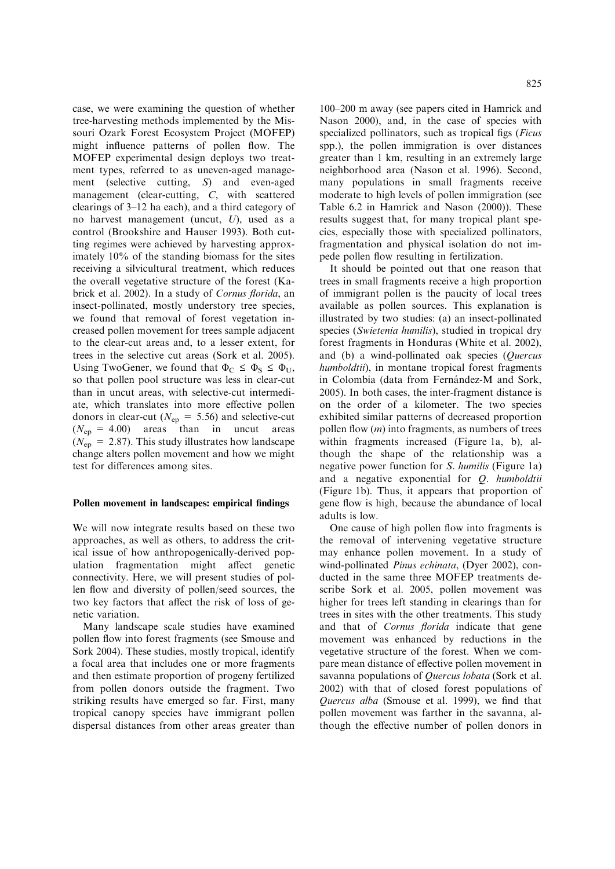case, we were examining the question of whether tree-harvesting methods implemented by the Missouri Ozark Forest Ecosystem Project (MOFEP) might influence patterns of pollen flow. The MOFEP experimental design deploys two treatment types, referred to as uneven-aged management (selective cutting, S) and even-aged management (clear-cutting, C, with scattered clearings of 3–12 ha each), and a third category of no harvest management (uncut, U), used as a control (Brookshire and Hauser 1993). Both cutting regimes were achieved by harvesting approximately 10% of the standing biomass for the sites receiving a silvicultural treatment, which reduces the overall vegetative structure of the forest (Kabrick et al. 2002). In a study of Cornus florida, an insect-pollinated, mostly understory tree species, we found that removal of forest vegetation increased pollen movement for trees sample adjacent to the clear-cut areas and, to a lesser extent, for trees in the selective cut areas (Sork et al. 2005). Using TwoGener, we found that  $\Phi_C \leq \Phi_S \leq \Phi_U$ , so that pollen pool structure was less in clear-cut than in uncut areas, with selective-cut intermediate, which translates into more effective pollen donors in clear-cut ( $N_{ep} = 5.56$ ) and selective-cut  $(N_{\rm ep} = 4.00)$  areas than in uncut areas  $(N_{\rm en} = 2.87)$ . This study illustrates how landscape change alters pollen movement and how we might test for differences among sites.

### Pollen movement in landscapes: empirical findings

We will now integrate results based on these two approaches, as well as others, to address the critical issue of how anthropogenically-derived population fragmentation might affect genetic connectivity. Here, we will present studies of pollen flow and diversity of pollen/seed sources, the two key factors that affect the risk of loss of genetic variation.

Many landscape scale studies have examined pollen flow into forest fragments (see Smouse and Sork 2004). These studies, mostly tropical, identify a focal area that includes one or more fragments and then estimate proportion of progeny fertilized from pollen donors outside the fragment. Two striking results have emerged so far. First, many tropical canopy species have immigrant pollen dispersal distances from other areas greater than

100–200 m away (see papers cited in Hamrick and Nason 2000), and, in the case of species with specialized pollinators, such as tropical figs (Ficus spp.), the pollen immigration is over distances greater than 1 km, resulting in an extremely large neighborhood area (Nason et al. 1996). Second, many populations in small fragments receive moderate to high levels of pollen immigration (see Table 6.2 in Hamrick and Nason (2000)). These results suggest that, for many tropical plant species, especially those with specialized pollinators,

pede pollen flow resulting in fertilization. It should be pointed out that one reason that trees in small fragments receive a high proportion of immigrant pollen is the paucity of local trees available as pollen sources. This explanation is illustrated by two studies: (a) an insect-pollinated species (Swietenia humilis), studied in tropical dry forest fragments in Honduras (White et al. 2002), and (b) a wind-pollinated oak species (Quercus humboldtii), in montane tropical forest fragments in Colombia (data from Fernández-M and Sork, 2005). In both cases, the inter-fragment distance is on the order of a kilometer. The two species exhibited similar patterns of decreased proportion pollen flow  $(m)$  into fragments, as numbers of trees within fragments increased (Figure 1a, b), although the shape of the relationship was a negative power function for S. humilis (Figure 1a) and a negative exponential for  $Q$ . humboldtii (Figure 1b). Thus, it appears that proportion of gene flow is high, because the abundance of local adults is low.

fragmentation and physical isolation do not im-

One cause of high pollen flow into fragments is the removal of intervening vegetative structure may enhance pollen movement. In a study of wind-pollinated Pinus echinata, (Dyer 2002), conducted in the same three MOFEP treatments describe Sork et al. 2005, pollen movement was higher for trees left standing in clearings than for trees in sites with the other treatments. This study and that of *Cornus florida* indicate that gene movement was enhanced by reductions in the vegetative structure of the forest. When we compare mean distance of effective pollen movement in savanna populations of Quercus lobata (Sork et al. 2002) with that of closed forest populations of Quercus alba (Smouse et al. 1999), we find that pollen movement was farther in the savanna, although the effective number of pollen donors in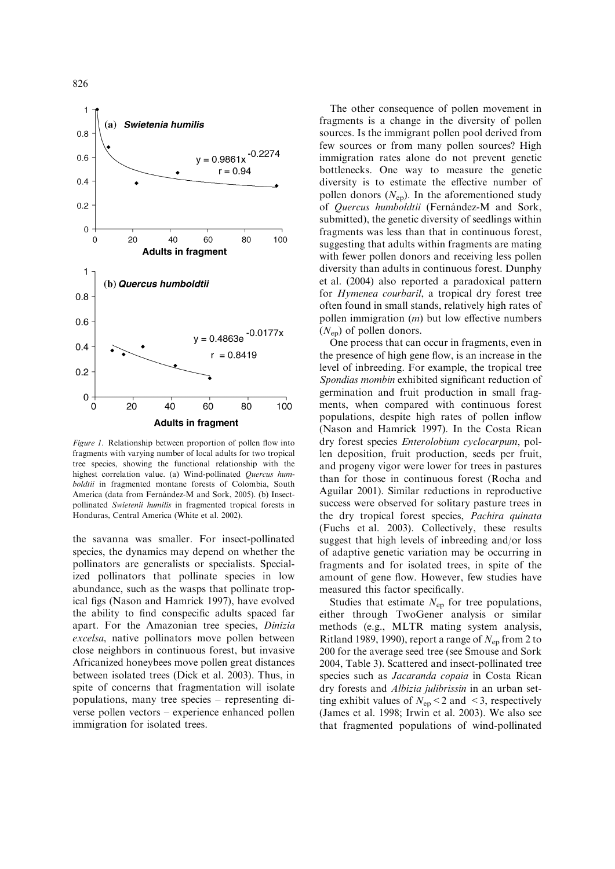

Figure 1. Relationship between proportion of pollen flow into fragments with varying number of local adults for two tropical tree species, showing the functional relationship with the highest correlation value. (a) Wind-pollinated Quercus humboldtii in fragmented montane forests of Colombia, South America (data from Fernández-M and Sork, 2005). (b) Insectpollinated Swietenii humilis in fragmented tropical forests in Honduras, Central America (White et al. 2002).

the savanna was smaller. For insect-pollinated species, the dynamics may depend on whether the pollinators are generalists or specialists. Specialized pollinators that pollinate species in low abundance, such as the wasps that pollinate tropical figs (Nason and Hamrick 1997), have evolved the ability to find conspecific adults spaced far apart. For the Amazonian tree species, Dinizia excelsa, native pollinators move pollen between close neighbors in continuous forest, but invasive Africanized honeybees move pollen great distances between isolated trees (Dick et al. 2003). Thus, in spite of concerns that fragmentation will isolate populations, many tree species – representing diverse pollen vectors – experience enhanced pollen immigration for isolated trees.

The other consequence of pollen movement in fragments is a change in the diversity of pollen sources. Is the immigrant pollen pool derived from few sources or from many pollen sources? High immigration rates alone do not prevent genetic bottlenecks. One way to measure the genetic diversity is to estimate the effective number of pollen donors  $(N_{ep})$ . In the aforementioned study of Quercus humboldtii (Fernández-M and Sork, submitted), the genetic diversity of seedlings within fragments was less than that in continuous forest, suggesting that adults within fragments are mating with fewer pollen donors and receiving less pollen diversity than adults in continuous forest. Dunphy et al. (2004) also reported a paradoxical pattern for Hymenea courbaril, a tropical dry forest tree often found in small stands, relatively high rates of pollen immigration  $(m)$  but low effective numbers  $(N_{ep})$  of pollen donors.

One process that can occur in fragments, even in the presence of high gene flow, is an increase in the level of inbreeding. For example, the tropical tree Spondias mombin exhibited significant reduction of germination and fruit production in small fragments, when compared with continuous forest populations, despite high rates of pollen inflow (Nason and Hamrick 1997). In the Costa Rican dry forest species Enterolobium cyclocarpum, pollen deposition, fruit production, seeds per fruit, and progeny vigor were lower for trees in pastures than for those in continuous forest (Rocha and Aguilar 2001). Similar reductions in reproductive success were observed for solitary pasture trees in the dry tropical forest species, Pachira quinata (Fuchs et al. 2003). Collectively, these results suggest that high levels of inbreeding and/or loss of adaptive genetic variation may be occurring in fragments and for isolated trees, in spite of the amount of gene flow. However, few studies have measured this factor specifically.

Studies that estimate  $N_{ep}$  for tree populations, either through TwoGener analysis or similar methods (e.g., MLTR mating system analysis, Ritland 1989, 1990), report a range of  $N_{\rm en}$  from 2 to 200 for the average seed tree (see Smouse and Sork 2004, Table 3). Scattered and insect-pollinated tree species such as Jacaranda copaia in Costa Rican dry forests and *Albizia julibrissin* in an urban setting exhibit values of  $N_{ep}$  < 2 and < 3, respectively (James et al. 1998; Irwin et al. 2003). We also see that fragmented populations of wind-pollinated

826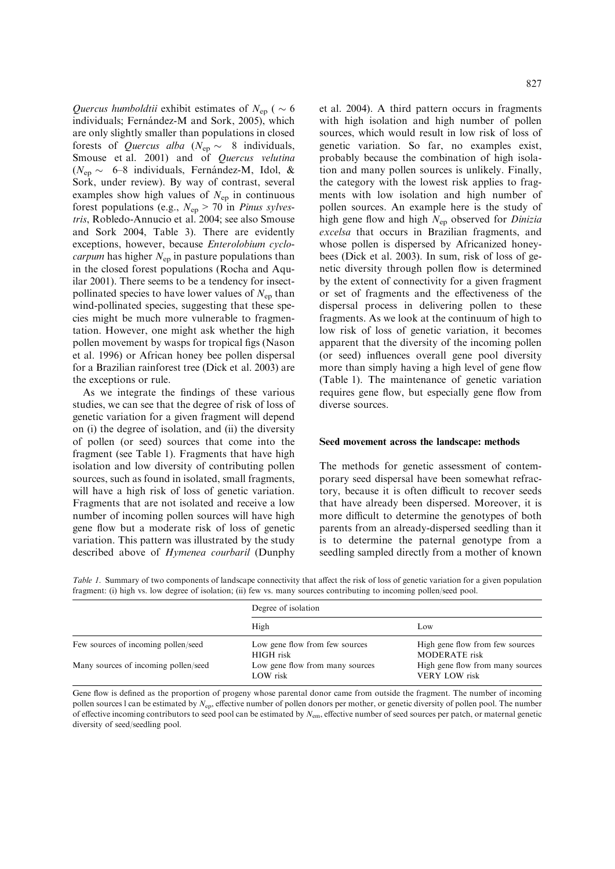Quercus humboldtii exhibit estimates of  $N_{\rm en}$  (  $\sim 6$ ) individuals; Fernández-M and Sork, 2005), which are only slightly smaller than populations in closed forests of *Quercus alba* ( $N_{ep} \sim 8$  individuals, Smouse et al. 2001) and of Quercus velutina  $(N_{\rm ep} \sim 6-8$  individuals, Fernández-M, Idol, & Sork, under review). By way of contrast, several examples show high values of  $N_{ep}$  in continuous forest populations (e.g.,  $N_{ep} > 70$  in *Pinus sylves*tris, Robledo-Annucio et al. 2004; see also Smouse and Sork 2004, Table 3). There are evidently exceptions, however, because Enterolobium cyclo*carpum* has higher  $N_{\rm en}$  in pasture populations than in the closed forest populations (Rocha and Aquilar 2001). There seems to be a tendency for insectpollinated species to have lower values of  $N_{ep}$  than wind-pollinated species, suggesting that these species might be much more vulnerable to fragmentation. However, one might ask whether the high pollen movement by wasps for tropical figs (Nason et al. 1996) or African honey bee pollen dispersal for a Brazilian rainforest tree (Dick et al. 2003) are the exceptions or rule.

As we integrate the findings of these various studies, we can see that the degree of risk of loss of genetic variation for a given fragment will depend on (i) the degree of isolation, and (ii) the diversity of pollen (or seed) sources that come into the fragment (see Table 1). Fragments that have high isolation and low diversity of contributing pollen sources, such as found in isolated, small fragments, will have a high risk of loss of genetic variation. Fragments that are not isolated and receive a low number of incoming pollen sources will have high gene flow but a moderate risk of loss of genetic variation. This pattern was illustrated by the study described above of Hymenea courbaril (Dunphy

et al. 2004). A third pattern occurs in fragments with high isolation and high number of pollen sources, which would result in low risk of loss of genetic variation. So far, no examples exist, probably because the combination of high isolation and many pollen sources is unlikely. Finally, the category with the lowest risk applies to fragments with low isolation and high number of pollen sources. An example here is the study of high gene flow and high  $N_{\text{ep}}$  observed for *Dinizia* excelsa that occurs in Brazilian fragments, and whose pollen is dispersed by Africanized honeybees (Dick et al. 2003). In sum, risk of loss of genetic diversity through pollen flow is determined by the extent of connectivity for a given fragment or set of fragments and the effectiveness of the dispersal process in delivering pollen to these fragments. As we look at the continuum of high to low risk of loss of genetic variation, it becomes apparent that the diversity of the incoming pollen (or seed) influences overall gene pool diversity more than simply having a high level of gene flow (Table 1). The maintenance of genetic variation requires gene flow, but especially gene flow from diverse sources.

#### Seed movement across the landscape: methods

The methods for genetic assessment of contemporary seed dispersal have been somewhat refractory, because it is often difficult to recover seeds that have already been dispersed. Moreover, it is more difficult to determine the genotypes of both parents from an already-dispersed seedling than it is to determine the paternal genotype from a seedling sampled directly from a mother of known

|  | Table 1. Summary of two components of landscape connectivity that affect the risk of loss of genetic variation for a given population |  |  |  |  |
|--|---------------------------------------------------------------------------------------------------------------------------------------|--|--|--|--|
|  | fragment: (i) high vs. low degree of isolation; (ii) few vs. many sources contributing to incoming pollen/seed pool.                  |  |  |  |  |

|                                      | Degree of isolation                         |                                                          |  |  |
|--------------------------------------|---------------------------------------------|----------------------------------------------------------|--|--|
|                                      | High                                        | Low                                                      |  |  |
| Few sources of incoming pollen/seed  | Low gene flow from few sources<br>HIGH risk | High gene flow from few sources<br><b>MODERATE</b> risk  |  |  |
| Many sources of incoming pollen/seed | Low gene flow from many sources<br>LOW risk | High gene flow from many sources<br><b>VERY LOW</b> risk |  |  |

Gene flow is defined as the proportion of progeny whose parental donor came from outside the fragment. The number of incoming pollen sources l can be estimated by  $N_{ep}$ , effective number of pollen donors per mother, or genetic diversity of pollen pool. The number of effective incoming contributors to seed pool can be estimated by  $N_{\text{em}}$ , effective number of seed sources per patch, or maternal genetic diversity of seed/seedling pool.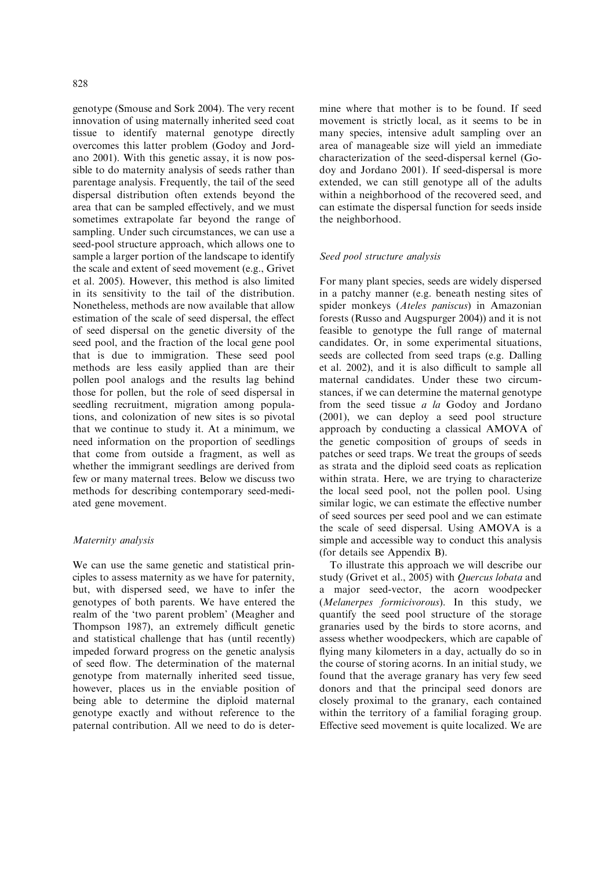genotype (Smouse and Sork 2004). The very recent innovation of using maternally inherited seed coat tissue to identify maternal genotype directly overcomes this latter problem (Godoy and Jordano 2001). With this genetic assay, it is now possible to do maternity analysis of seeds rather than parentage analysis. Frequently, the tail of the seed dispersal distribution often extends beyond the area that can be sampled effectively, and we must sometimes extrapolate far beyond the range of sampling. Under such circumstances, we can use a seed-pool structure approach, which allows one to sample a larger portion of the landscape to identify the scale and extent of seed movement (e.g., Grivet et al. 2005). However, this method is also limited in its sensitivity to the tail of the distribution. Nonetheless, methods are now available that allow estimation of the scale of seed dispersal, the effect of seed dispersal on the genetic diversity of the seed pool, and the fraction of the local gene pool that is due to immigration. These seed pool methods are less easily applied than are their pollen pool analogs and the results lag behind those for pollen, but the role of seed dispersal in seedling recruitment, migration among populations, and colonization of new sites is so pivotal that we continue to study it. At a minimum, we need information on the proportion of seedlings that come from outside a fragment, as well as whether the immigrant seedlings are derived from few or many maternal trees. Below we discuss two methods for describing contemporary seed-mediated gene movement.

## Maternity analysis

We can use the same genetic and statistical principles to assess maternity as we have for paternity, but, with dispersed seed, we have to infer the genotypes of both parents. We have entered the realm of the 'two parent problem' (Meagher and Thompson 1987), an extremely difficult genetic and statistical challenge that has (until recently) impeded forward progress on the genetic analysis of seed flow. The determination of the maternal genotype from maternally inherited seed tissue, however, places us in the enviable position of being able to determine the diploid maternal genotype exactly and without reference to the paternal contribution. All we need to do is determine where that mother is to be found. If seed movement is strictly local, as it seems to be in many species, intensive adult sampling over an area of manageable size will yield an immediate characterization of the seed-dispersal kernel (Godoy and Jordano 2001). If seed-dispersal is more extended, we can still genotype all of the adults within a neighborhood of the recovered seed, and can estimate the dispersal function for seeds inside the neighborhood.

## Seed pool structure analysis

For many plant species, seeds are widely dispersed in a patchy manner (e.g. beneath nesting sites of spider monkeys (Ateles paniscus) in Amazonian forests (Russo and Augspurger 2004)) and it is not feasible to genotype the full range of maternal candidates. Or, in some experimental situations, seeds are collected from seed traps (e.g. Dalling et al. 2002), and it is also difficult to sample all maternal candidates. Under these two circumstances, if we can determine the maternal genotype from the seed tissue a la Godoy and Jordano (2001), we can deploy a seed pool structure approach by conducting a classical AMOVA of the genetic composition of groups of seeds in patches or seed traps. We treat the groups of seeds as strata and the diploid seed coats as replication within strata. Here, we are trying to characterize the local seed pool, not the pollen pool. Using similar logic, we can estimate the effective number of seed sources per seed pool and we can estimate the scale of seed dispersal. Using AMOVA is a simple and accessible way to conduct this analysis (for details see Appendix B).

To illustrate this approach we will describe our study (Grivet et al., 2005) with Quercus lobata and a major seed-vector, the acorn woodpecker (Melanerpes formicivorous). In this study, we quantify the seed pool structure of the storage granaries used by the birds to store acorns, and assess whether woodpeckers, which are capable of flying many kilometers in a day, actually do so in the course of storing acorns. In an initial study, we found that the average granary has very few seed donors and that the principal seed donors are closely proximal to the granary, each contained within the territory of a familial foraging group. Effective seed movement is quite localized. We are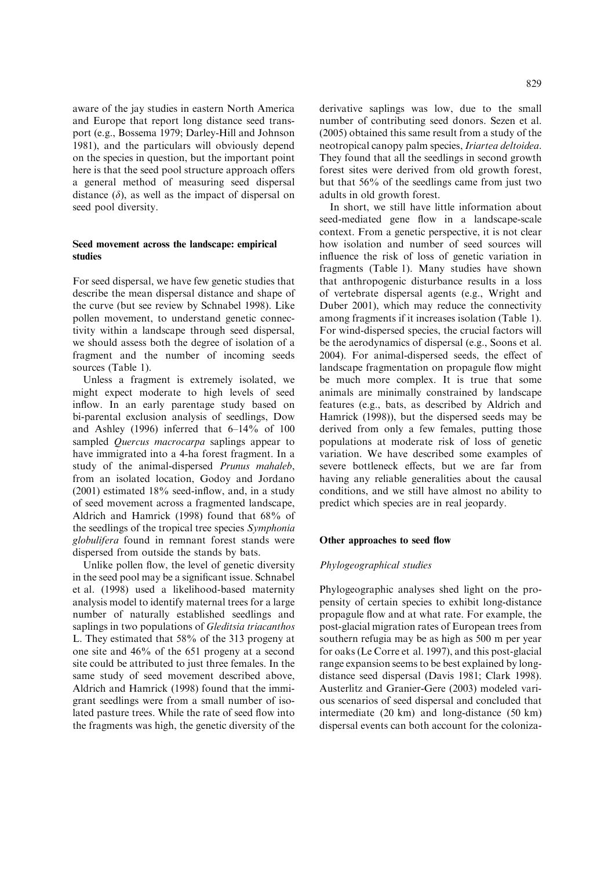aware of the jay studies in eastern North America and Europe that report long distance seed transport (e.g., Bossema 1979; Darley-Hill and Johnson 1981), and the particulars will obviously depend on the species in question, but the important point here is that the seed pool structure approach offers a general method of measuring seed dispersal distance  $(\delta)$ , as well as the impact of dispersal on seed pool diversity.

## Seed movement across the landscape: empirical studies

For seed dispersal, we have few genetic studies that describe the mean dispersal distance and shape of the curve (but see review by Schnabel 1998). Like pollen movement, to understand genetic connectivity within a landscape through seed dispersal, we should assess both the degree of isolation of a fragment and the number of incoming seeds sources (Table 1).

Unless a fragment is extremely isolated, we might expect moderate to high levels of seed inflow. In an early parentage study based on bi-parental exclusion analysis of seedlings, Dow and Ashley (1996) inferred that 6–14% of 100 sampled *Quercus macrocarpa* saplings appear to have immigrated into a 4-ha forest fragment. In a study of the animal-dispersed Prunus mahaleb, from an isolated location, Godoy and Jordano (2001) estimated 18% seed-inflow, and, in a study of seed movement across a fragmented landscape, Aldrich and Hamrick (1998) found that 68% of the seedlings of the tropical tree species Symphonia globulifera found in remnant forest stands were dispersed from outside the stands by bats.

Unlike pollen flow, the level of genetic diversity in the seed pool may be a significant issue. Schnabel et al. (1998) used a likelihood-based maternity analysis model to identify maternal trees for a large number of naturally established seedlings and saplings in two populations of *Gleditsia triacanthos* L. They estimated that 58% of the 313 progeny at one site and 46% of the 651 progeny at a second site could be attributed to just three females. In the same study of seed movement described above, Aldrich and Hamrick (1998) found that the immigrant seedlings were from a small number of isolated pasture trees. While the rate of seed flow into the fragments was high, the genetic diversity of the

derivative saplings was low, due to the small number of contributing seed donors. Sezen et al. (2005) obtained this same result from a study of the neotropical canopy palm species, Iriartea deltoidea. They found that all the seedlings in second growth forest sites were derived from old growth forest, but that 56% of the seedlings came from just two adults in old growth forest.

In short, we still have little information about seed-mediated gene flow in a landscape-scale context. From a genetic perspective, it is not clear how isolation and number of seed sources will influence the risk of loss of genetic variation in fragments (Table 1). Many studies have shown that anthropogenic disturbance results in a loss of vertebrate dispersal agents (e.g., Wright and Duber 2001), which may reduce the connectivity among fragments if it increases isolation (Table 1). For wind-dispersed species, the crucial factors will be the aerodynamics of dispersal (e.g., Soons et al. 2004). For animal-dispersed seeds, the effect of landscape fragmentation on propagule flow might be much more complex. It is true that some animals are minimally constrained by landscape features (e.g., bats, as described by Aldrich and Hamrick (1998)), but the dispersed seeds may be derived from only a few females, putting those populations at moderate risk of loss of genetic variation. We have described some examples of severe bottleneck effects, but we are far from having any reliable generalities about the causal conditions, and we still have almost no ability to predict which species are in real jeopardy.

#### Other approaches to seed flow

### Phylogeographical studies

Phylogeographic analyses shed light on the propensity of certain species to exhibit long-distance propagule flow and at what rate. For example, the post-glacial migration rates of European trees from southern refugia may be as high as 500 m per year for oaks (Le Corre et al. 1997), and this post-glacial range expansion seems to be best explained by longdistance seed dispersal (Davis 1981; Clark 1998). Austerlitz and Granier-Gere (2003) modeled various scenarios of seed dispersal and concluded that intermediate (20 km) and long-distance (50 km) dispersal events can both account for the coloniza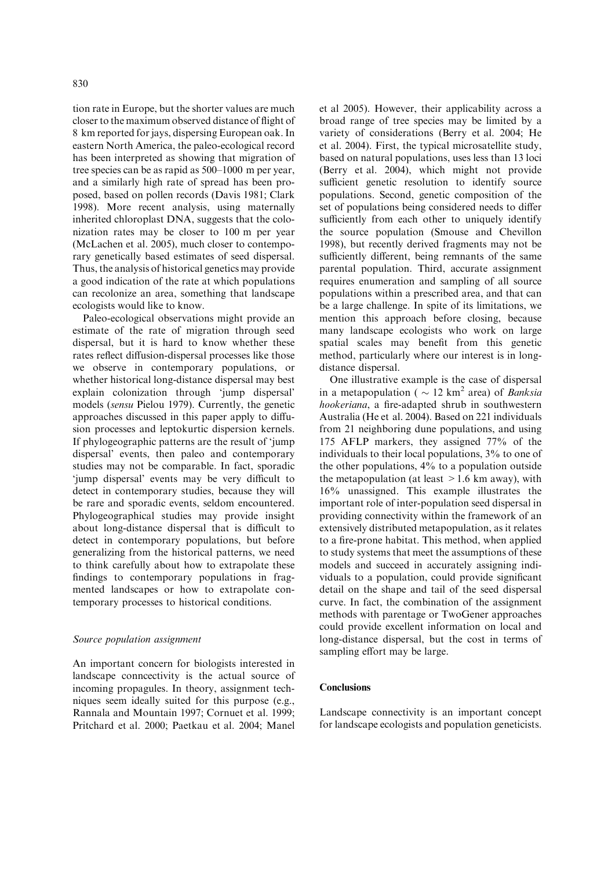tion rate in Europe, but the shorter values are much closerto the maximum observed distance of flight of 8 km reported for jays, dispersing European oak. In eastern North America, the paleo-ecological record has been interpreted as showing that migration of tree species can be as rapid as 500–1000 m per year, and a similarly high rate of spread has been proposed, based on pollen records (Davis 1981; Clark 1998). More recent analysis, using maternally inherited chloroplast DNA, suggests that the colonization rates may be closer to 100 m per year (McLachen et al. 2005), much closer to contemporary genetically based estimates of seed dispersal. Thus, the analysis of historical genetics may provide a good indication of the rate at which populations can recolonize an area, something that landscape ecologists would like to know.

Paleo-ecological observations might provide an estimate of the rate of migration through seed dispersal, but it is hard to know whether these rates reflect diffusion-dispersal processes like those we observe in contemporary populations, or whether historical long-distance dispersal may best explain colonization through 'jump dispersal' models (sensu Pielou 1979). Currently, the genetic approaches discussed in this paper apply to diffusion processes and leptokurtic dispersion kernels. If phylogeographic patterns are the result of 'jump dispersal' events, then paleo and contemporary studies may not be comparable. In fact, sporadic 'jump dispersal' events may be very difficult to detect in contemporary studies, because they will be rare and sporadic events, seldom encountered. Phylogeographical studies may provide insight about long-distance dispersal that is difficult to detect in contemporary populations, but before generalizing from the historical patterns, we need to think carefully about how to extrapolate these findings to contemporary populations in fragmented landscapes or how to extrapolate contemporary processes to historical conditions.

## Source population assignment

An important concern for biologists interested in landscape conncectivity is the actual source of incoming propagules. In theory, assignment techniques seem ideally suited for this purpose (e.g., Rannala and Mountain 1997; Cornuet et al. 1999; Pritchard et al. 2000; Paetkau et al. 2004; Manel

et al 2005). However, their applicability across a broad range of tree species may be limited by a variety of considerations (Berry et al. 2004; He et al. 2004). First, the typical microsatellite study, based on natural populations, uses less than 13 loci (Berry et al. 2004), which might not provide sufficient genetic resolution to identify source populations. Second, genetic composition of the set of populations being considered needs to differ sufficiently from each other to uniquely identify the source population (Smouse and Chevillon 1998), but recently derived fragments may not be sufficiently different, being remnants of the same parental population. Third, accurate assignment requires enumeration and sampling of all source populations within a prescribed area, and that can be a large challenge. In spite of its limitations, we mention this approach before closing, because many landscape ecologists who work on large spatial scales may benefit from this genetic method, particularly where our interest is in longdistance dispersal.

One illustrative example is the case of dispersal in a metapopulation (  $\sim$  12 km<sup>2</sup> area) of *Banksia* hookeriana, a fire-adapted shrub in southwestern Australia (He et al. 2004). Based on 221 individuals from 21 neighboring dune populations, and using 175 AFLP markers, they assigned 77% of the individuals to their local populations, 3% to one of the other populations,  $4\%$  to a population outside the metapopulation (at least  $>1.6$  km away), with 16% unassigned. This example illustrates the important role of inter-population seed dispersal in providing connectivity within the framework of an extensively distributed metapopulation, as it relates to a fire-prone habitat. This method, when applied to study systems that meet the assumptions of these models and succeed in accurately assigning individuals to a population, could provide significant detail on the shape and tail of the seed dispersal curve. In fact, the combination of the assignment methods with parentage or TwoGener approaches could provide excellent information on local and long-distance dispersal, but the cost in terms of sampling effort may be large.

#### Conclusions

Landscape connectivity is an important concept for landscape ecologists and population geneticists.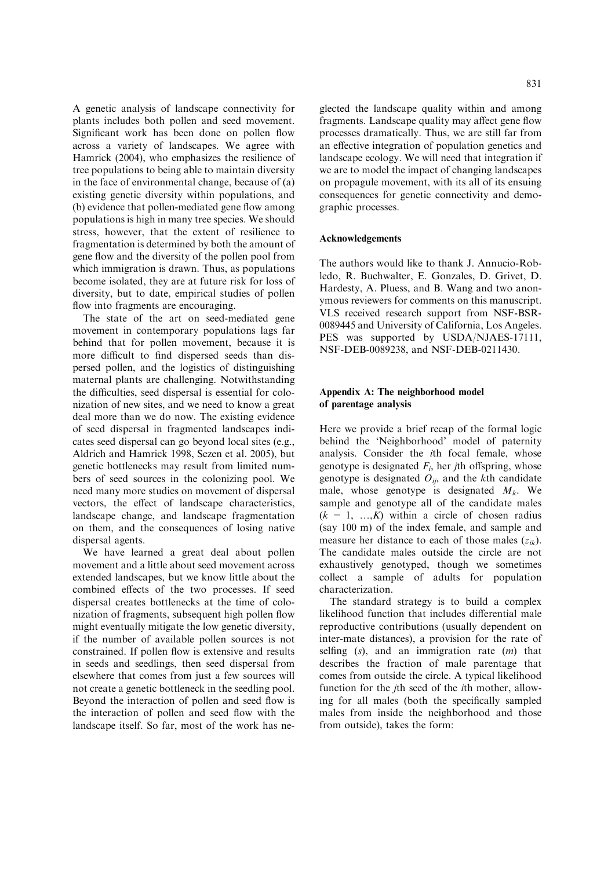A genetic analysis of landscape connectivity for plants includes both pollen and seed movement. Significant work has been done on pollen flow across a variety of landscapes. We agree with Hamrick (2004), who emphasizes the resilience of tree populations to being able to maintain diversity in the face of environmental change, because of (a) existing genetic diversity within populations, and (b) evidence that pollen-mediated gene flow among populations is high in many tree species. We should stress, however, that the extent of resilience to fragmentation is determined by both the amount of gene flow and the diversity of the pollen pool from which immigration is drawn. Thus, as populations become isolated, they are at future risk for loss of diversity, but to date, empirical studies of pollen flow into fragments are encouraging.

The state of the art on seed-mediated gene movement in contemporary populations lags far behind that for pollen movement, because it is more difficult to find dispersed seeds than dispersed pollen, and the logistics of distinguishing maternal plants are challenging. Notwithstanding the difficulties, seed dispersal is essential for colonization of new sites, and we need to know a great deal more than we do now. The existing evidence of seed dispersal in fragmented landscapes indicates seed dispersal can go beyond local sites (e.g., Aldrich and Hamrick 1998, Sezen et al. 2005), but genetic bottlenecks may result from limited numbers of seed sources in the colonizing pool. We need many more studies on movement of dispersal vectors, the effect of landscape characteristics, landscape change, and landscape fragmentation on them, and the consequences of losing native dispersal agents.

We have learned a great deal about pollen movement and a little about seed movement across extended landscapes, but we know little about the combined effects of the two processes. If seed dispersal creates bottlenecks at the time of colonization of fragments, subsequent high pollen flow might eventually mitigate the low genetic diversity, if the number of available pollen sources is not constrained. If pollen flow is extensive and results in seeds and seedlings, then seed dispersal from elsewhere that comes from just a few sources will not create a genetic bottleneck in the seedling pool. Beyond the interaction of pollen and seed flow is the interaction of pollen and seed flow with the landscape itself. So far, most of the work has ne-

glected the landscape quality within and among fragments. Landscape quality may affect gene flow processes dramatically. Thus, we are still far from an effective integration of population genetics and landscape ecology. We will need that integration if we are to model the impact of changing landscapes on propagule movement, with its all of its ensuing consequences for genetic connectivity and demographic processes.

#### Acknowledgements

The authors would like to thank J. Annucio-Robledo, R. Buchwalter, E. Gonzales, D. Grivet, D. Hardesty, A. Pluess, and B. Wang and two anonymous reviewers for comments on this manuscript. VLS received research support from NSF-BSR-0089445 and University of California, Los Angeles. PES was supported by USDA/NJAES-17111, NSF-DEB-0089238, and NSF-DEB-0211430.

# Appendix A: The neighborhood model of parentage analysis

Here we provide a brief recap of the formal logic behind the 'Neighborhood' model of paternity analysis. Consider the ith focal female, whose genotype is designated  $F_i$ , her *j*th offspring, whose genotype is designated  $O_{ij}$ , and the kth candidate male, whose genotype is designated  $M_k$ . We sample and genotype all of the candidate males  $(k = 1, \dots, K)$  within a circle of chosen radius (say 100 m) of the index female, and sample and measure her distance to each of those males  $(z_{ik})$ . The candidate males outside the circle are not exhaustively genotyped, though we sometimes collect a sample of adults for population characterization.

The standard strategy is to build a complex likelihood function that includes differential male reproductive contributions (usually dependent on inter-mate distances), a provision for the rate of selfing  $(s)$ , and an immigration rate  $(m)$  that describes the fraction of male parentage that comes from outside the circle. A typical likelihood function for the jth seed of the ith mother, allowing for all males (both the specifically sampled males from inside the neighborhood and those from outside), takes the form: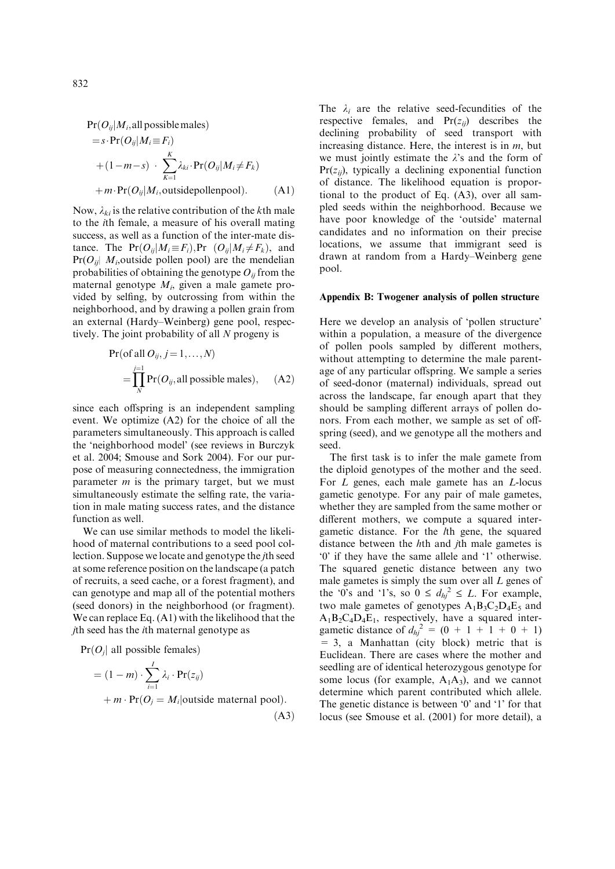$$
Pr(O_{ij}|M_i, all possible males)
$$
  
=  $s \cdot Pr(O_{ij}|M_i \equiv F_i)$   
+  $(1-m-s) \cdot \sum_{K=1}^{K} \lambda_{ki} \cdot Pr(O_{ij}|M_i \neq F_k)$   
+  $m \cdot Pr(O_{ij}|M_i, outsidepollenpool).$  (A1)

Now,  $\lambda_{ki}$  is the relative contribution of the kth male to the ith female, a measure of his overall mating success, as well as a function of the inter-mate distance. The  $Pr(O_{ii} | M_i \equiv F_i)$ , Pr  $(O_{ii} | M_i \neq F_k)$ , and  $Pr(O_{ii} | M_i)$ , outside pollen pool) are the mendelian probabilities of obtaining the genotype  $O_{ij}$  from the maternal genotype  $M_i$ , given a male gamete provided by selfing, by outcrossing from within the neighborhood, and by drawing a pollen grain from an external (Hardy–Weinberg) gene pool, respectively. The joint probability of all N progeny is

$$
\Pr(\text{of all } O_{ij}, j = 1, ..., N)
$$
\n
$$
= \prod_{N}^{j=1} \Pr(O_{ij}, \text{all possible males}), \quad (A2)
$$

since each offspring is an independent sampling event. We optimize (A2) for the choice of all the parameters simultaneously. This approach is called the 'neighborhood model' (see reviews in Burczyk et al. 2004; Smouse and Sork 2004). For our purpose of measuring connectedness, the immigration parameter  $m$  is the primary target, but we must simultaneously estimate the selfing rate, the variation in male mating success rates, and the distance function as well.

We can use similar methods to model the likelihood of maternal contributions to a seed pool collection. Suppose we locate and genotype the jth seed atsome reference position on the landscape (a patch of recruits, a seed cache, or a forest fragment), and can genotype and map all of the potential mothers (seed donors) in the neighborhood (or fragment). We can replace Eq. (A1) with the likelihood that the jth seed has the ith maternal genotype as

 $Pr(O_i)$  all possible females)

$$
= (1 - m) \cdot \sum_{i=1}^{I} \lambda_i \cdot \Pr(z_{ij})
$$
  
+ m \cdot \Pr(O\_j = M\_i | outside maternal pool). (A3)

The  $\lambda_i$  are the relative seed-fecundities of the respective females, and  $Pr(z_{ii})$  describes the declining probability of seed transport with increasing distance. Here, the interest is in  $m$ , but we must jointly estimate the  $\lambda$ 's and the form of  $Pr(z_{ii})$ , typically a declining exponential function of distance. The likelihood equation is proportional to the product of Eq. (A3), over all sampled seeds within the neighborhood. Because we have poor knowledge of the 'outside' maternal candidates and no information on their precise locations, we assume that immigrant seed is drawn at random from a Hardy–Weinberg gene pool.

#### Appendix B: Twogener analysis of pollen structure

Here we develop an analysis of 'pollen structure' within a population, a measure of the divergence of pollen pools sampled by different mothers, without attempting to determine the male parentage of any particular offspring. We sample a series of seed-donor (maternal) individuals, spread out across the landscape, far enough apart that they should be sampling different arrays of pollen donors. From each mother, we sample as set of offspring (seed), and we genotype all the mothers and seed.

The first task is to infer the male gamete from the diploid genotypes of the mother and the seed. For L genes, each male gamete has an L-locus gametic genotype. For any pair of male gametes, whether they are sampled from the same mother or different mothers, we compute a squared intergametic distance. For the lth gene, the squared distance between the hth and jth male gametes is '0' if they have the same allele and '1' otherwise. The squared genetic distance between any two male gametes is simply the sum over all  $L$  genes of the '0's and '1's, so  $0 \leq d_{hj}^2 \leq L$ . For example, two male gametes of genotypes  $A_1B_3C_2D_4E_5$  and  $A_1B_2C_4D_4E_1$ , respectively, have a squared intergametic distance of  $d_{hj}^{2} = (0 + 1 + 1 + 0 + 1)$  $= 3$ , a Manhattan (city block) metric that is Euclidean. There are cases where the mother and seedling are of identical heterozygous genotype for some locus (for example,  $A_1A_3$ ), and we cannot determine which parent contributed which allele. The genetic distance is between '0' and '1' for that locus (see Smouse et al. (2001) for more detail), a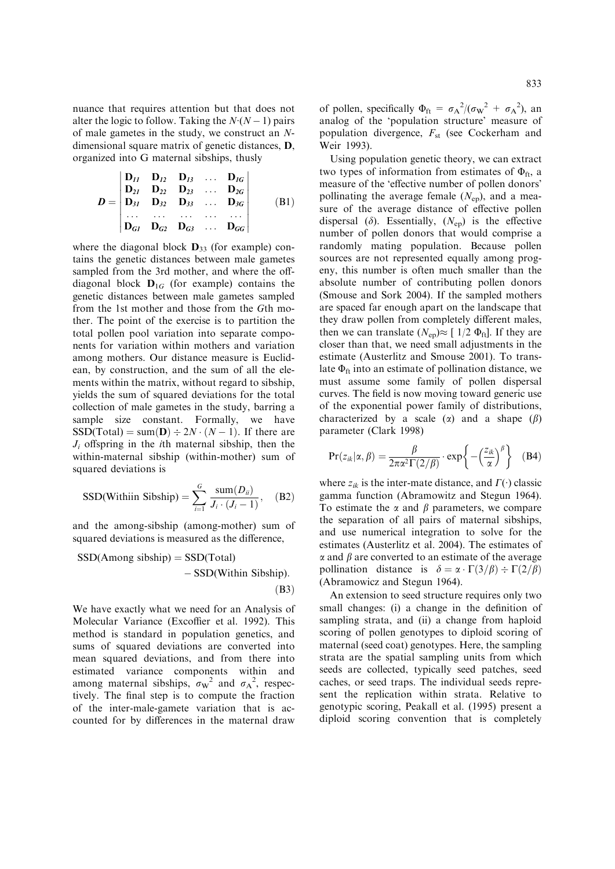nuance that requires attention but that does not alter the logic to follow. Taking the  $N(N - 1)$  pairs of male gametes in the study, we construct an Ndimensional square matrix of genetic distances, D, organized into G maternal sibships, thusly

$$
D = \begin{vmatrix} D_{11} & D_{12} & D_{13} & \dots & D_{1G} \\ D_{21} & D_{22} & D_{23} & \dots & D_{2G} \\ D_{31} & D_{32} & D_{33} & \dots & D_{3G} \\ \dots & \dots & \dots & \dots & \dots \\ D_{GI} & D_{G2} & D_{G3} & \dots & D_{GG} \end{vmatrix}
$$
 (B1)

where the diagonal block  $D_{33}$  (for example) contains the genetic distances between male gametes sampled from the 3rd mother, and where the offdiagonal block  $D_{1G}$  (for example) contains the genetic distances between male gametes sampled from the 1st mother and those from the Gth mother. The point of the exercise is to partition the total pollen pool variation into separate components for variation within mothers and variation among mothers. Our distance measure is Euclidean, by construction, and the sum of all the elements within the matrix, without regard to sibship, yields the sum of squared deviations for the total collection of male gametes in the study, barring a sample size constant. Formally, we have  $SSD(Total) = sum(D) \div 2N \cdot (N-1)$ . If there are  $J_i$  offspring in the *i*th maternal sibship, then the within-maternal sibship (within-mother) sum of squared deviations is

$$
SSD(\text{Within Sibship}) = \sum_{i=1}^{G} \frac{\text{sum}(D_{ii})}{J_i \cdot (J_i - 1)}, \quad (B2)
$$

and the among-sibship (among-mother) sum of squared deviations is measured as the difference,

 $SSD(A$ mong sibship) =  $SSD(Total)$  $-$  SSD(Within Sibship).  $(B3)$ 

We have exactly what we need for an Analysis of Molecular Variance (Excoffier et al. 1992). This method is standard in population genetics, and sums of squared deviations are converted into mean squared deviations, and from there into estimated variance components within and among maternal sibships,  $\sigma_w^2$  and  $\sigma_A^2$ , respectively. The final step is to compute the fraction of the inter-male-gamete variation that is accounted for by differences in the maternal draw

833

of pollen, specifically  $\Phi_{\text{ft}} = \sigma_A^2/(\sigma_w^2 + \sigma_A^2)$ , and analog of the 'population structure' measure of population divergence,  $F_{st}$  (see Cockerham and Weir 1993).

Using population genetic theory, we can extract two types of information from estimates of  $\Phi_{\text{ft}}$ , a measure of the 'effective number of pollen donors' pollinating the average female  $(N_{ep})$ , and a measure of the average distance of effective pollen dispersal ( $\delta$ ). Essentially, ( $N_{ep}$ ) is the effective number of pollen donors that would comprise a randomly mating population. Because pollen sources are not represented equally among progeny, this number is often much smaller than the absolute number of contributing pollen donors (Smouse and Sork 2004). If the sampled mothers are spaced far enough apart on the landscape that they draw pollen from completely different males, then we can translate  $(N_{ep}) \approx [1/2 \Phi_{ft}]$ . If they are closer than that, we need small adjustments in the estimate (Austerlitz and Smouse 2001). To translate  $\Phi_{ft}$  into an estimate of pollination distance, we must assume some family of pollen dispersal curves. The field is now moving toward generic use of the exponential power family of distributions, characterized by a scale  $(\alpha)$  and a shape  $(\beta)$ parameter (Clark 1998)

$$
\Pr(z_{ik}|\alpha,\beta) = \frac{\beta}{2\pi\alpha^2 \Gamma(2/\beta)} \cdot \exp\left\{-\left(\frac{z_{ik}}{\alpha}\right)^{\beta}\right\} \quad (B4)
$$

where  $z_{ik}$  is the inter-mate distance, and  $\Gamma(\cdot)$  classic gamma function (Abramowitz and Stegun 1964). To estimate the  $\alpha$  and  $\beta$  parameters, we compare the separation of all pairs of maternal sibships, and use numerical integration to solve for the estimates (Austerlitz et al. 2004). The estimates of  $\alpha$  and  $\beta$  are converted to an estimate of the average pollination distance is  $\delta = \alpha \cdot \Gamma(3/\beta) \div \Gamma(2/\beta)$ (Abramowicz and Stegun 1964).

An extension to seed structure requires only two small changes: (i) a change in the definition of sampling strata, and (ii) a change from haploid scoring of pollen genotypes to diploid scoring of maternal (seed coat) genotypes. Here, the sampling strata are the spatial sampling units from which seeds are collected, typically seed patches, seed caches, or seed traps. The individual seeds represent the replication within strata. Relative to genotypic scoring, Peakall et al. (1995) present a diploid scoring convention that is completely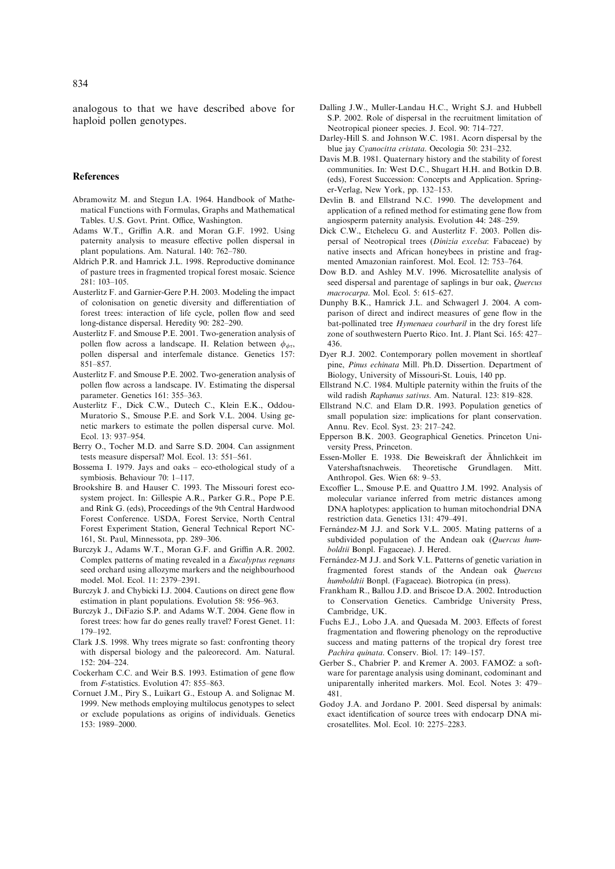analogous to that we have described above for haploid pollen genotypes.

#### References

- Abramowitz M. and Stegun I.A. 1964. Handbook of Mathematical Functions with Formulas, Graphs and Mathematical Tables. U.S. Govt. Print. Office, Washington.
- Adams W.T., Griffin A.R. and Moran G.F. 1992. Using paternity analysis to measure effective pollen dispersal in plant populations. Am. Natural. 140: 762–780.
- Aldrich P.R. and Hamrick J.L. 1998. Reproductive dominance of pasture trees in fragmented tropical forest mosaic. Science 281: 103–105.
- Austerlitz F. and Garnier-Gere P.H. 2003. Modeling the impact of colonisation on genetic diversity and differentiation of forest trees: interaction of life cycle, pollen flow and seed long-distance dispersal. Heredity 90: 282–290.
- Austerlitz F. and Smouse P.E. 2001. Two-generation analysis of pollen flow across a landscape. II. Relation between  $\phi_{\phi\tau}$ , pollen dispersal and interfemale distance. Genetics 157: 851–857.
- Austerlitz F. and Smouse P.E. 2002. Two-generation analysis of pollen flow across a landscape. IV. Estimating the dispersal parameter. Genetics 161: 355–363.
- Austerlitz F., Dick C.W., Dutech C., Klein E.K., Oddou-Muratorio S., Smouse P.E. and Sork V.L. 2004. Using genetic markers to estimate the pollen dispersal curve. Mol. Ecol. 13: 937–954.
- Berry O., Tocher M.D. and Sarre S.D. 2004. Can assignment tests measure dispersal? Mol. Ecol. 13: 551–561.
- Bossema I. 1979. Jays and oaks eco-ethological study of a symbiosis. Behaviour 70: 1–117.
- Brookshire B. and Hauser C. 1993. The Missouri forest ecosystem project. In: Gillespie A.R., Parker G.R., Pope P.E. and Rink G. (eds), Proceedings of the 9th Central Hardwood Forest Conference. USDA, Forest Service, North Central Forest Experiment Station, General Technical Report NC-161, St. Paul, Minnessota, pp. 289–306.
- Burczyk J., Adams W.T., Moran G.F. and Griffin A.R. 2002. Complex patterns of mating revealed in a *Eucalyptus regnans* seed orchard using allozyme markers and the neighbourhood model. Mol. Ecol. 11: 2379–2391.
- Burczyk J. and Chybicki I.J. 2004. Cautions on direct gene flow estimation in plant populations. Evolution 58: 956–963.
- Burczyk J., DiFazio S.P. and Adams W.T. 2004. Gene flow in forest trees: how far do genes really travel? Forest Genet. 11: 179–192.
- Clark J.S. 1998. Why trees migrate so fast: confronting theory with dispersal biology and the paleorecord. Am. Natural. 152: 204–224.
- Cockerham C.C. and Weir B.S. 1993. Estimation of gene flow from F-statistics. Evolution 47: 855–863.
- Cornuet J.M., Piry S., Luikart G., Estoup A. and Solignac M. 1999. New methods employing multilocus genotypes to select or exclude populations as origins of individuals. Genetics 153: 1989–2000.
- Dalling J.W., Muller-Landau H.C., Wright S.J. and Hubbell S.P. 2002. Role of dispersal in the recruitment limitation of Neotropical pioneer species. J. Ecol. 90: 714–727.
- Darley-Hill S. and Johnson W.C. 1981. Acorn dispersal by the blue jay Cyanocitta cristata. Oecologia 50: 231–232.
- Davis M.B. 1981. Quaternary history and the stability of forest communities. In: West D.C., Shugart H.H. and Botkin D.B. (eds), Forest Succession: Concepts and Application. Springer-Verlag, New York, pp. 132–153.
- Devlin B. and Ellstrand N.C. 1990. The development and application of a refined method for estimating gene flow from angiosperm paternity analysis. Evolution 44: 248–259.
- Dick C.W., Etchelecu G. and Austerlitz F. 2003. Pollen dispersal of Neotropical trees (Dinizia excelsa: Fabaceae) by native insects and African honeybees in pristine and fragmented Amazonian rainforest. Mol. Ecol. 12: 753–764.
- Dow B.D. and Ashley M.V. 1996. Microsatellite analysis of seed dispersal and parentage of saplings in bur oak, Quercus macrocarpa. Mol. Ecol. 5: 615–627.
- Dunphy B.K., Hamrick J.L. and Schwagerl J. 2004. A comparison of direct and indirect measures of gene flow in the bat-pollinated tree Hymenaea courbaril in the dry forest life zone of southwestern Puerto Rico. Int. J. Plant Sci. 165: 427– 436.
- Dyer R.J. 2002. Contemporary pollen movement in shortleaf pine, Pinus echinata Mill. Ph.D. Dissertion. Department of Biology, University of Missouri-St. Louis, 140 pp.
- Ellstrand N.C. 1984. Multiple paternity within the fruits of the wild radish Raphanus sativus. Am. Natural. 123: 819–828.
- Ellstrand N.C. and Elam D.R. 1993. Population genetics of small population size: implications for plant conservation. Annu. Rev. Ecol. Syst. 23: 217–242.
- Epperson B.K. 2003. Geographical Genetics. Princeton University Press, Princeton.
- Essen-Moller E. 1938. Die Beweiskraft der Ähnlichkeit im Vatershaftsnachweis. Theoretische Grundlagen. Mitt. Anthropol. Ges. Wien 68: 9–53.
- Excoffier L., Smouse P.E. and Quattro J.M. 1992. Analysis of molecular variance inferred from metric distances among DNA haplotypes: application to human mitochondrial DNA restriction data. Genetics 131: 479–491.
- Fernández-M J.J. and Sork V.L. 2005. Mating patterns of a subdivided population of the Andean oak (Quercus humboldtii Bonpl. Fagaceae). J. Hered.
- Fernández-M J.J. and Sork V.L. Patterns of genetic variation in fragmented forest stands of the Andean oak Quercus humboldtii Bonpl. (Fagaceae). Biotropica (in press).
- Frankham R., Ballou J.D. and Briscoe D.A. 2002. Introduction to Conservation Genetics. Cambridge University Press, Cambridge, UK.
- Fuchs E.J., Lobo J.A. and Quesada M. 2003. Effects of forest fragmentation and flowering phenology on the reproductive success and mating patterns of the tropical dry forest tree Pachira quinata. Conserv. Biol. 17: 149–157.
- Gerber S., Chabrier P. and Kremer A. 2003. FAMOZ: a software for parentage analysis using dominant, codominant and uniparentally inherited markers. Mol. Ecol. Notes 3: 479– 481.
- Godoy J.A. and Jordano P. 2001. Seed dispersal by animals: exact identification of source trees with endocarp DNA microsatellites. Mol. Ecol. 10: 2275–2283.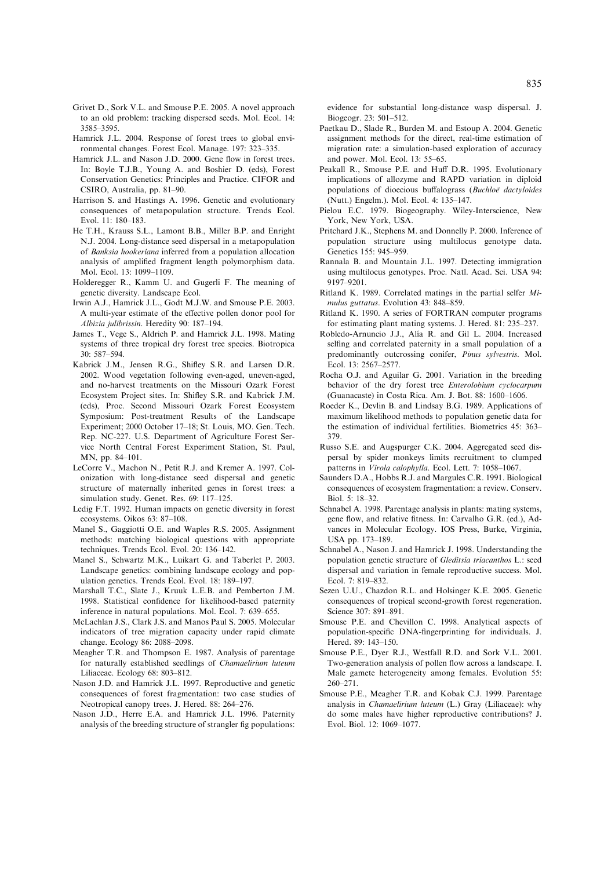- Grivet D., Sork V.L. and Smouse P.E. 2005. A novel approach to an old problem: tracking dispersed seeds. Mol. Ecol. 14: 3585–3595.
- Hamrick J.L. 2004. Response of forest trees to global environmental changes. Forest Ecol. Manage. 197: 323–335.
- Hamrick J.L. and Nason J.D. 2000. Gene flow in forest trees. In: Boyle T.J.B., Young A. and Boshier D. (eds), Forest Conservation Genetics: Principles and Practice. CIFOR and CSIRO, Australia, pp. 81–90.
- Harrison S. and Hastings A. 1996. Genetic and evolutionary consequences of metapopulation structure. Trends Ecol. Evol. 11: 180–183.
- He T.H., Krauss S.L., Lamont B.B., Miller B.P. and Enright N.J. 2004. Long-distance seed dispersal in a metapopulation of Banksia hookeriana inferred from a population allocation analysis of amplified fragment length polymorphism data. Mol. Ecol. 13: 1099–1109.
- Holderegger R., Kamm U. and Gugerli F. The meaning of genetic diversity. Landscape Ecol.
- Irwin A.J., Hamrick J.L., Godt M.J.W. and Smouse P.E. 2003. A multi-year estimate of the effective pollen donor pool for Albizia julibrissin. Heredity 90: 187–194.
- James T., Vege S., Aldrich P. and Hamrick J.L. 1998. Mating systems of three tropical dry forest tree species. Biotropica 30: 587–594.
- Kabrick J.M., Jensen R.G., Shifley S.R. and Larsen D.R. 2002. Wood vegetation following even-aged, uneven-aged, and no-harvest treatments on the Missouri Ozark Forest Ecosystem Project sites. In: Shifley S.R. and Kabrick J.M. (eds), Proc. Second Missouri Ozark Forest Ecosystem Symposium: Post-treatment Results of the Landscape Experiment; 2000 October 17–18; St. Louis, MO. Gen. Tech. Rep. NC-227. U.S. Department of Agriculture Forest Service North Central Forest Experiment Station, St. Paul, MN, pp. 84–101.
- LeCorre V., Machon N., Petit R.J. and Kremer A. 1997. Colonization with long-distance seed dispersal and genetic structure of maternally inherited genes in forest trees: a simulation study. Genet. Res. 69: 117–125.
- Ledig F.T. 1992. Human impacts on genetic diversity in forest ecosystems. Oikos 63: 87–108.
- Manel S., Gaggiotti O.E. and Waples R.S. 2005. Assignment methods: matching biological questions with appropriate techniques. Trends Ecol. Evol. 20: 136–142.
- Manel S., Schwartz M.K., Luikart G. and Taberlet P. 2003. Landscape genetics: combining landscape ecology and population genetics. Trends Ecol. Evol. 18: 189–197.
- Marshall T.C., Slate J., Kruuk L.E.B. and Pemberton J.M. 1998. Statistical confidence for likelihood-based paternity inference in natural populations. Mol. Ecol. 7: 639–655.
- McLachlan J.S., Clark J.S. and Manos Paul S. 2005. Molecular indicators of tree migration capacity under rapid climate change. Ecology 86: 2088–2098.
- Meagher T.R. and Thompson E. 1987. Analysis of parentage for naturally established seedlings of Chamaelirium luteum Liliaceae. Ecology 68: 803–812.
- Nason J.D. and Hamrick J.L. 1997. Reproductive and genetic consequences of forest fragmentation: two case studies of Neotropical canopy trees. J. Hered. 88: 264–276.
- Nason J.D., Herre E.A. and Hamrick J.L. 1996. Paternity analysis of the breeding structure of strangler fig populations:

evidence for substantial long-distance wasp dispersal. J. Biogeogr. 23: 501–512.

- Paetkau D., Slade R., Burden M. and Estoup A. 2004. Genetic assignment methods for the direct, real-time estimation of migration rate: a simulation-based exploration of accuracy and power. Mol. Ecol. 13: 55–65.
- Peakall R., Smouse P.E. and Huff D.R. 1995. Evolutionary implications of allozyme and RAPD variation in diploid populations of dioecious buffalograss (Buchloë dactyloides (Nutt.) Engelm.). Mol. Ecol. 4: 135–147.
- Pielou E.C. 1979. Biogeography. Wiley-Interscience, New York, New York, USA.
- Pritchard J.K., Stephens M. and Donnelly P. 2000. Inference of population structure using multilocus genotype data. Genetics 155: 945–959.
- Rannala B. and Mountain J.L. 1997. Detecting immigration using multilocus genotypes. Proc. Natl. Acad. Sci. USA 94: 9197–9201.
- Ritland K. 1989. Correlated matings in the partial selfer Mimulus guttatus. Evolution 43: 848–859.
- Ritland K. 1990. A series of FORTRAN computer programs for estimating plant mating systems. J. Hered. 81: 235–237.
- Robledo-Arnuncio J.J., Alía R. and Gil L. 2004. Increased selfing and correlated paternity in a small population of a predominantly outcrossing conifer, Pinus sylvestris. Mol. Ecol. 13: 2567–2577.
- Rocha O.J. and Aguilar G. 2001. Variation in the breeding behavior of the dry forest tree Enterolobium cyclocarpum (Guanacaste) in Costa Rica. Am. J. Bot. 88: 1600–1606.
- Roeder K., Devlin B. and Lindsay B.G. 1989. Applications of maximum likelihood methods to population genetic data for the estimation of individual fertilities. Biometrics 45: 363– 379.
- Russo S.E. and Augspurger C.K. 2004. Aggregated seed dispersal by spider monkeys limits recruitment to clumped patterns in Virola calophylla. Ecol. Lett. 7: 1058–1067.
- Saunders D.A., Hobbs R.J. and Margules C.R. 1991. Biological consequences of ecosystem fragmentation: a review. Conserv. Biol. 5: 18–32.
- Schnabel A. 1998. Parentage analysis in plants: mating systems, gene flow, and relative fitness. In: Carvalho G.R. (ed.), Advances in Molecular Ecology. IOS Press, Burke, Virginia, USA pp. 173–189.
- Schnabel A., Nason J. and Hamrick J. 1998. Understanding the population genetic structure of Gleditsia triacanthos L.: seed dispersal and variation in female reproductive success. Mol. Ecol. 7: 819–832.
- Sezen U.U., Chazdon R.L. and Holsinger K.E. 2005. Genetic consequences of tropical second-growth forest regeneration. Science 307: 891–891.
- Smouse P.E. and Chevillon C. 1998. Analytical aspects of population-specific DNA-fingerprinting for individuals. J. Hered. 89: 143–150.
- Smouse P.E., Dyer R.J., Westfall R.D. and Sork V.L. 2001. Two-generation analysis of pollen flow across a landscape. I. Male gamete heterogeneity among females. Evolution 55: 260–271.
- Smouse P.E., Meagher T.R. and Kobak C.J. 1999. Parentage analysis in Chamaelirium luteum (L.) Gray (Liliaceae): why do some males have higher reproductive contributions? J. Evol. Biol. 12: 1069–1077.